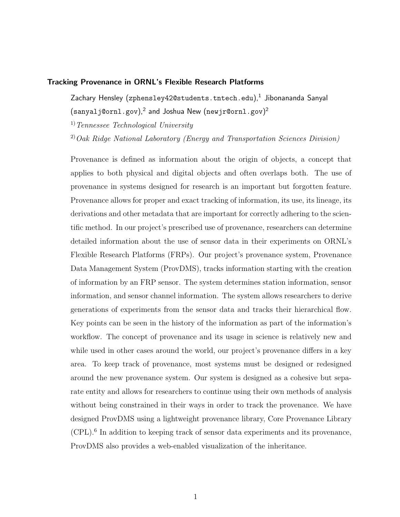# Tracking Provenance in ORNL's Flexible Research Platforms

Zachary Hensley (zphensley $42$ @students.tntech.edu), $^{\rm 1}$  Jibonananda Sanyal  $(\verb|sanyalj@ornl.gov|,^2$  and Joshua New  $(\verb|newjr@ornl.gov|)^2$ 

 $1)$  Tennessee Technological University

 $^{2)}$ Oak Ridge National Laboratory (Energy and Transportation Sciences Division)

Provenance is defined as information about the origin of objects, a concept that applies to both physical and digital objects and often overlaps both. The use of provenance in systems designed for research is an important but forgotten feature. Provenance allows for proper and exact tracking of information, its use, its lineage, its derivations and other metadata that are important for correctly adhering to the scientific method. In our project's prescribed use of provenance, researchers can determine detailed information about the use of sensor data in their experiments on ORNL's Flexible Research Platforms (FRPs). Our project's provenance system, Provenance Data Management System (ProvDMS), tracks information starting with the creation of information by an FRP sensor. The system determines station information, sensor information, and sensor channel information. The system allows researchers to derive generations of experiments from the sensor data and tracks their hierarchical flow. Key points can be seen in the history of the information as part of the information's workflow. The concept of provenance and its usage in science is relatively new and while used in other cases around the world, our project's provenance differs in a key area. To keep track of provenance, most systems must be designed or redesigned around the new provenance system. Our system is designed as a cohesive but separate entity and allows for researchers to continue using their own methods of analysis without being constrained in their ways in order to track the provenance. We have designed ProvDMS using a lightweight provenance library, Core Provenance Library (CPL).<sup>6</sup> In addition to keeping track of sensor data experiments and its provenance, ProvDMS also provides a web-enabled visualization of the inheritance.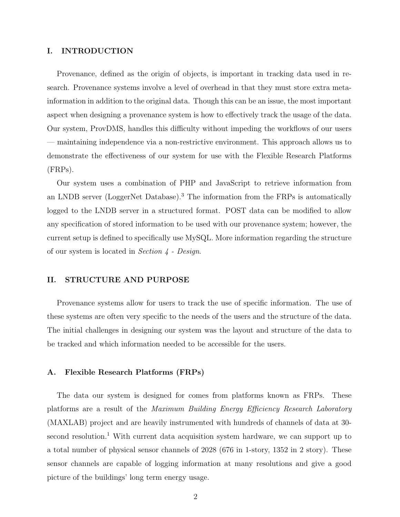## I. INTRODUCTION

Provenance, defined as the origin of objects, is important in tracking data used in research. Provenance systems involve a level of overhead in that they must store extra metainformation in addition to the original data. Though this can be an issue, the most important aspect when designing a provenance system is how to effectively track the usage of the data. Our system, ProvDMS, handles this difficulty without impeding the workflows of our users — maintaining independence via a non-restrictive environment. This approach allows us to demonstrate the effectiveness of our system for use with the Flexible Research Platforms (FRPs).

Our system uses a combination of PHP and JavaScript to retrieve information from an LNDB server (LoggerNet Database).<sup>3</sup> The information from the FRPs is automatically logged to the LNDB server in a structured format. POST data can be modified to allow any specification of stored information to be used with our provenance system; however, the current setup is defined to specifically use MySQL. More information regarding the structure of our system is located in Section 4 - Design.

# II. STRUCTURE AND PURPOSE

Provenance systems allow for users to track the use of specific information. The use of these systems are often very specific to the needs of the users and the structure of the data. The initial challenges in designing our system was the layout and structure of the data to be tracked and which information needed to be accessible for the users.

## A. Flexible Research Platforms (FRPs)

The data our system is designed for comes from platforms known as FRPs. These platforms are a result of the Maximum Building Energy Efficiency Research Laboratory (MAXLAB) project and are heavily instrumented with hundreds of channels of data at 30 second resolution.<sup>1</sup> With current data acquisition system hardware, we can support up to a total number of physical sensor channels of 2028 (676 in 1-story, 1352 in 2 story). These sensor channels are capable of logging information at many resolutions and give a good picture of the buildings' long term energy usage.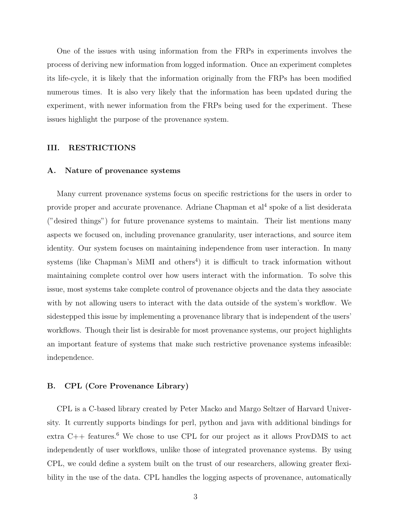One of the issues with using information from the FRPs in experiments involves the process of deriving new information from logged information. Once an experiment completes its life-cycle, it is likely that the information originally from the FRPs has been modified numerous times. It is also very likely that the information has been updated during the experiment, with newer information from the FRPs being used for the experiment. These issues highlight the purpose of the provenance system.

## III. RESTRICTIONS

#### A. Nature of provenance systems

Many current provenance systems focus on specific restrictions for the users in order to provide proper and accurate provenance. Adriane Chapman et al<sup>4</sup> spoke of a list desiderata ("desired things") for future provenance systems to maintain. Their list mentions many aspects we focused on, including provenance granularity, user interactions, and source item identity. Our system focuses on maintaining independence from user interaction. In many systems (like Chapman's MiMI and others<sup>4</sup>) it is difficult to track information without maintaining complete control over how users interact with the information. To solve this issue, most systems take complete control of provenance objects and the data they associate with by not allowing users to interact with the data outside of the system's workflow. We sidestepped this issue by implementing a provenance library that is independent of the users' workflows. Though their list is desirable for most provenance systems, our project highlights an important feature of systems that make such restrictive provenance systems infeasible: independence.

#### B. CPL (Core Provenance Library)

CPL is a C-based library created by Peter Macko and Margo Seltzer of Harvard University. It currently supports bindings for perl, python and java with additional bindings for extra  $C_{++}$  features.<sup>6</sup> We chose to use CPL for our project as it allows ProvDMS to act independently of user workflows, unlike those of integrated provenance systems. By using CPL, we could define a system built on the trust of our researchers, allowing greater flexibility in the use of the data. CPL handles the logging aspects of provenance, automatically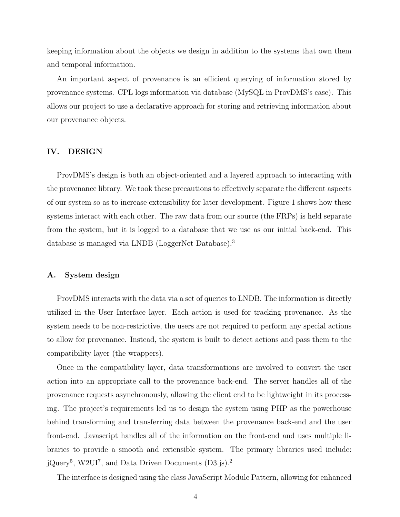keeping information about the objects we design in addition to the systems that own them and temporal information.

An important aspect of provenance is an efficient querying of information stored by provenance systems. CPL logs information via database (MySQL in ProvDMS's case). This allows our project to use a declarative approach for storing and retrieving information about our provenance objects.

#### IV. DESIGN

ProvDMS's design is both an object-oriented and a layered approach to interacting with the provenance library. We took these precautions to effectively separate the different aspects of our system so as to increase extensibility for later development. Figure 1 shows how these systems interact with each other. The raw data from our source (the FRPs) is held separate from the system, but it is logged to a database that we use as our initial back-end. This database is managed via LNDB (LoggerNet Database).<sup>3</sup>

## A. System design

ProvDMS interacts with the data via a set of queries to LNDB. The information is directly utilized in the User Interface layer. Each action is used for tracking provenance. As the system needs to be non-restrictive, the users are not required to perform any special actions to allow for provenance. Instead, the system is built to detect actions and pass them to the compatibility layer (the wrappers).

Once in the compatibility layer, data transformations are involved to convert the user action into an appropriate call to the provenance back-end. The server handles all of the provenance requests asynchronously, allowing the client end to be lightweight in its processing. The project's requirements led us to design the system using PHP as the powerhouse behind transforming and transferring data between the provenance back-end and the user front-end. Javascript handles all of the information on the front-end and uses multiple libraries to provide a smooth and extensible system. The primary libraries used include: jQuery<sup>5</sup>, W2UI<sup>7</sup>, and Data Driven Documents (D3.js).<sup>2</sup>

The interface is designed using the class JavaScript Module Pattern, allowing for enhanced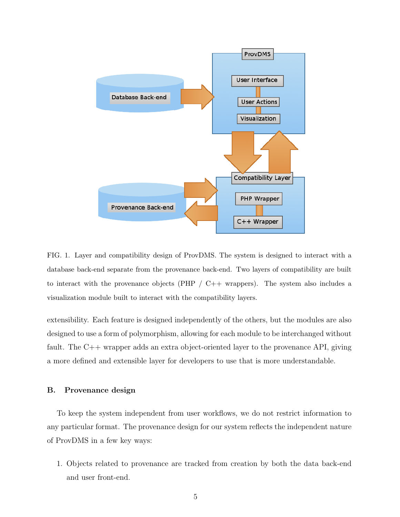

FIG. 1. Layer and compatibility design of ProvDMS. The system is designed to interact with a database back-end separate from the provenance back-end. Two layers of compatibility are built to interact with the provenance objects (PHP  $/$  C++ wrappers). The system also includes a visualization module built to interact with the compatibility layers.

extensibility. Each feature is designed independently of the others, but the modules are also designed to use a form of polymorphism, allowing for each module to be interchanged without fault. The C++ wrapper adds an extra object-oriented layer to the provenance API, giving a more defined and extensible layer for developers to use that is more understandable.

#### B. Provenance design

To keep the system independent from user workflows, we do not restrict information to any particular format. The provenance design for our system reflects the independent nature of ProvDMS in a few key ways:

1. Objects related to provenance are tracked from creation by both the data back-end and user front-end.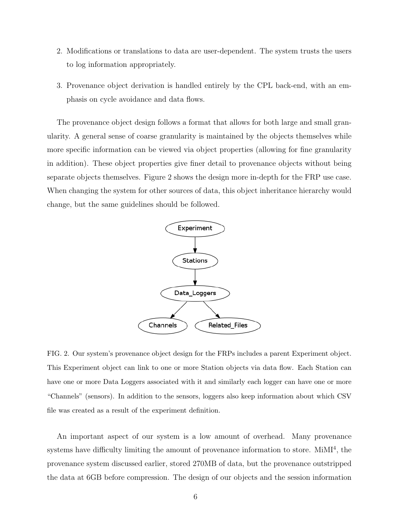- 2. Modifications or translations to data are user-dependent. The system trusts the users to log information appropriately.
- 3. Provenance object derivation is handled entirely by the CPL back-end, with an emphasis on cycle avoidance and data flows.

The provenance object design follows a format that allows for both large and small granularity. A general sense of coarse granularity is maintained by the objects themselves while more specific information can be viewed via object properties (allowing for fine granularity in addition). These object properties give finer detail to provenance objects without being separate objects themselves. Figure 2 shows the design more in-depth for the FRP use case. When changing the system for other sources of data, this object inheritance hierarchy would change, but the same guidelines should be followed.



FIG. 2. Our system's provenance object design for the FRPs includes a parent Experiment object. This Experiment object can link to one or more Station objects via data flow. Each Station can have one or more Data Loggers associated with it and similarly each logger can have one or more "Channels" (sensors). In addition to the sensors, loggers also keep information about which CSV file was created as a result of the experiment definition.

An important aspect of our system is a low amount of overhead. Many provenance systems have difficulty limiting the amount of provenance information to store. MiMI<sup>4</sup>, the provenance system discussed earlier, stored 270MB of data, but the provenance outstripped the data at 6GB before compression. The design of our objects and the session information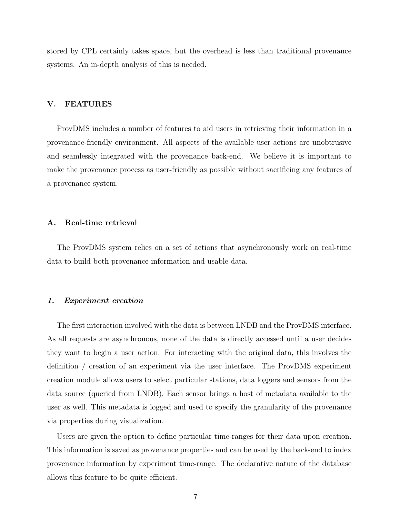stored by CPL certainly takes space, but the overhead is less than traditional provenance systems. An in-depth analysis of this is needed.

## V. FEATURES

ProvDMS includes a number of features to aid users in retrieving their information in a provenance-friendly environment. All aspects of the available user actions are unobtrusive and seamlessly integrated with the provenance back-end. We believe it is important to make the provenance process as user-friendly as possible without sacrificing any features of a provenance system.

## A. Real-time retrieval

The ProvDMS system relies on a set of actions that asynchronously work on real-time data to build both provenance information and usable data.

## 1. Experiment creation

The first interaction involved with the data is between LNDB and the ProvDMS interface. As all requests are asynchronous, none of the data is directly accessed until a user decides they want to begin a user action. For interacting with the original data, this involves the definition / creation of an experiment via the user interface. The ProvDMS experiment creation module allows users to select particular stations, data loggers and sensors from the data source (queried from LNDB). Each sensor brings a host of metadata available to the user as well. This metadata is logged and used to specify the granularity of the provenance via properties during visualization.

Users are given the option to define particular time-ranges for their data upon creation. This information is saved as provenance properties and can be used by the back-end to index provenance information by experiment time-range. The declarative nature of the database allows this feature to be quite efficient.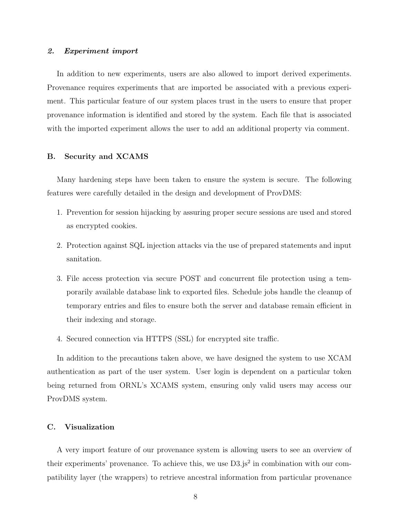## 2. Experiment import

In addition to new experiments, users are also allowed to import derived experiments. Provenance requires experiments that are imported be associated with a previous experiment. This particular feature of our system places trust in the users to ensure that proper provenance information is identified and stored by the system. Each file that is associated with the imported experiment allows the user to add an additional property via comment.

#### B. Security and XCAMS

Many hardening steps have been taken to ensure the system is secure. The following features were carefully detailed in the design and development of ProvDMS:

- 1. Prevention for session hijacking by assuring proper secure sessions are used and stored as encrypted cookies.
- 2. Protection against SQL injection attacks via the use of prepared statements and input sanitation.
- 3. File access protection via secure POST and concurrent file protection using a temporarily available database link to exported files. Schedule jobs handle the cleanup of temporary entries and files to ensure both the server and database remain efficient in their indexing and storage.
- 4. Secured connection via HTTPS (SSL) for encrypted site traffic.

In addition to the precautions taken above, we have designed the system to use XCAM authentication as part of the user system. User login is dependent on a particular token being returned from ORNL's XCAMS system, ensuring only valid users may access our ProvDMS system.

## C. Visualization

A very import feature of our provenance system is allowing users to see an overview of their experiments' provenance. To achieve this, we use  $D3.js<sup>2</sup>$  in combination with our compatibility layer (the wrappers) to retrieve ancestral information from particular provenance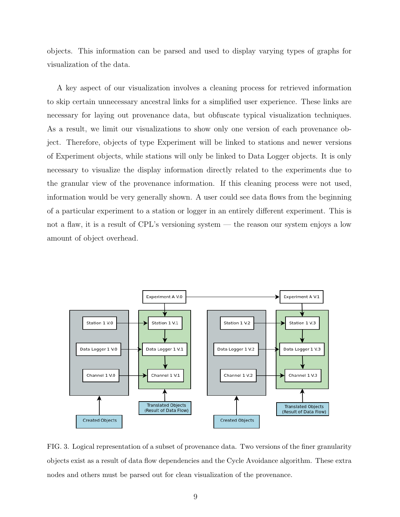objects. This information can be parsed and used to display varying types of graphs for visualization of the data.

A key aspect of our visualization involves a cleaning process for retrieved information to skip certain unnecessary ancestral links for a simplified user experience. These links are necessary for laying out provenance data, but obfuscate typical visualization techniques. As a result, we limit our visualizations to show only one version of each provenance object. Therefore, objects of type Experiment will be linked to stations and newer versions of Experiment objects, while stations will only be linked to Data Logger objects. It is only necessary to visualize the display information directly related to the experiments due to the granular view of the provenance information. If this cleaning process were not used, information would be very generally shown. A user could see data flows from the beginning of a particular experiment to a station or logger in an entirely different experiment. This is not a flaw, it is a result of CPL's versioning system — the reason our system enjoys a low amount of object overhead.



FIG. 3. Logical representation of a subset of provenance data. Two versions of the finer granularity objects exist as a result of data flow dependencies and the Cycle Avoidance algorithm. These extra nodes and others must be parsed out for clean visualization of the provenance.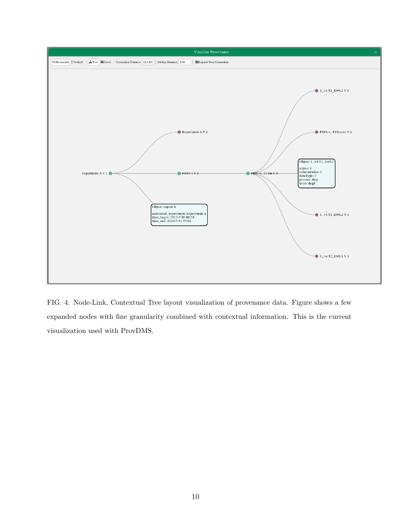

FIG. 4. Node-Link, Contextual Tree layout visualization of provenance data. Figure shows a few expanded nodes with fine granularity combined with contextual information. This is the current visualization used with ProvDMS.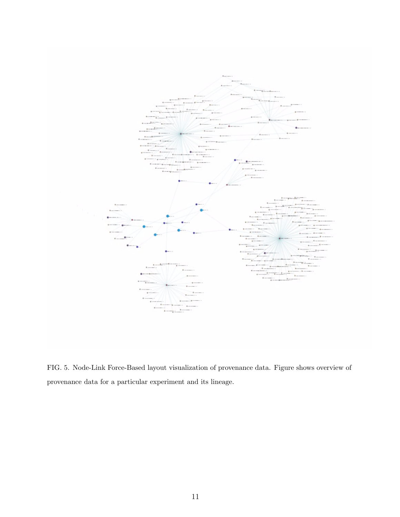

FIG. 5. Node-Link Force-Based layout visualization of provenance data. Figure shows overview of provenance data for a particular experiment and its lineage.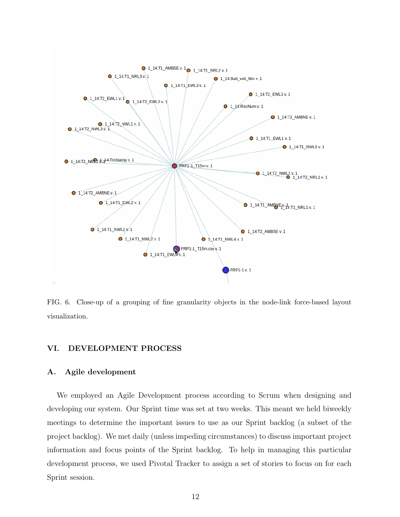

FIG. 6. Close-up of a grouping of fine granularity objects in the node-link force-based layout visualization.

# VI. DEVELOPMENT PROCESS

## A. Agile development

We employed an Agile Development process according to Scrum when designing and developing our system. Our Sprint time was set at two weeks. This meant we held biweekly meetings to determine the important issues to use as our Sprint backlog (a subset of the project backlog). We met daily (unless impeding circumstances) to discuss important project information and focus points of the Sprint backlog. To help in managing this particular development process, we used Pivotal Tracker to assign a set of stories to focus on for each Sprint session.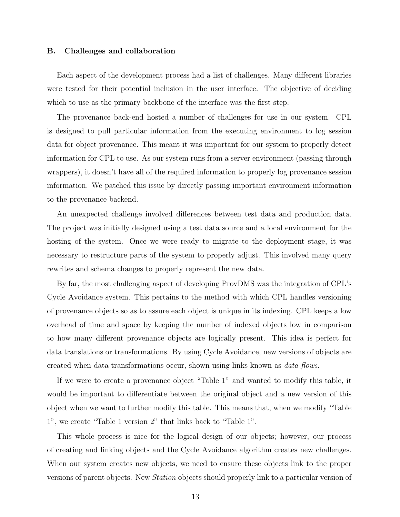#### B. Challenges and collaboration

Each aspect of the development process had a list of challenges. Many different libraries were tested for their potential inclusion in the user interface. The objective of deciding which to use as the primary backbone of the interface was the first step.

The provenance back-end hosted a number of challenges for use in our system. CPL is designed to pull particular information from the executing environment to log session data for object provenance. This meant it was important for our system to properly detect information for CPL to use. As our system runs from a server environment (passing through wrappers), it doesn't have all of the required information to properly log provenance session information. We patched this issue by directly passing important environment information to the provenance backend.

An unexpected challenge involved differences between test data and production data. The project was initially designed using a test data source and a local environment for the hosting of the system. Once we were ready to migrate to the deployment stage, it was necessary to restructure parts of the system to properly adjust. This involved many query rewrites and schema changes to properly represent the new data.

By far, the most challenging aspect of developing ProvDMS was the integration of CPL's Cycle Avoidance system. This pertains to the method with which CPL handles versioning of provenance objects so as to assure each object is unique in its indexing. CPL keeps a low overhead of time and space by keeping the number of indexed objects low in comparison to how many different provenance objects are logically present. This idea is perfect for data translations or transformations. By using Cycle Avoidance, new versions of objects are created when data transformations occur, shown using links known as data flows.

If we were to create a provenance object "Table 1" and wanted to modify this table, it would be important to differentiate between the original object and a new version of this object when we want to further modify this table. This means that, when we modify "Table 1", we create "Table 1 version 2" that links back to "Table 1".

This whole process is nice for the logical design of our objects; however, our process of creating and linking objects and the Cycle Avoidance algorithm creates new challenges. When our system creates new objects, we need to ensure these objects link to the proper versions of parent objects. New Station objects should properly link to a particular version of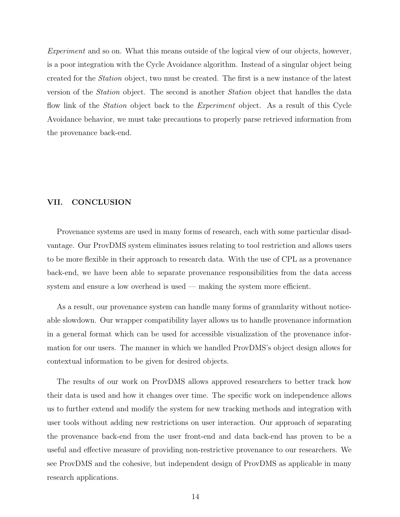Experiment and so on. What this means outside of the logical view of our objects, however, is a poor integration with the Cycle Avoidance algorithm. Instead of a singular object being created for the Station object, two must be created. The first is a new instance of the latest version of the Station object. The second is another Station object that handles the data flow link of the *Station* object back to the *Experiment* object. As a result of this Cycle Avoidance behavior, we must take precautions to properly parse retrieved information from the provenance back-end.

## VII. CONCLUSION

Provenance systems are used in many forms of research, each with some particular disadvantage. Our ProvDMS system eliminates issues relating to tool restriction and allows users to be more flexible in their approach to research data. With the use of CPL as a provenance back-end, we have been able to separate provenance responsibilities from the data access system and ensure a low overhead is used — making the system more efficient.

As a result, our provenance system can handle many forms of granularity without noticeable slowdown. Our wrapper compatibility layer allows us to handle provenance information in a general format which can be used for accessible visualization of the provenance information for our users. The manner in which we handled ProvDMS's object design allows for contextual information to be given for desired objects.

The results of our work on ProvDMS allows approved researchers to better track how their data is used and how it changes over time. The specific work on independence allows us to further extend and modify the system for new tracking methods and integration with user tools without adding new restrictions on user interaction. Our approach of separating the provenance back-end from the user front-end and data back-end has proven to be a useful and effective measure of providing non-restrictive provenance to our researchers. We see ProvDMS and the cohesive, but independent design of ProvDMS as applicable in many research applications.